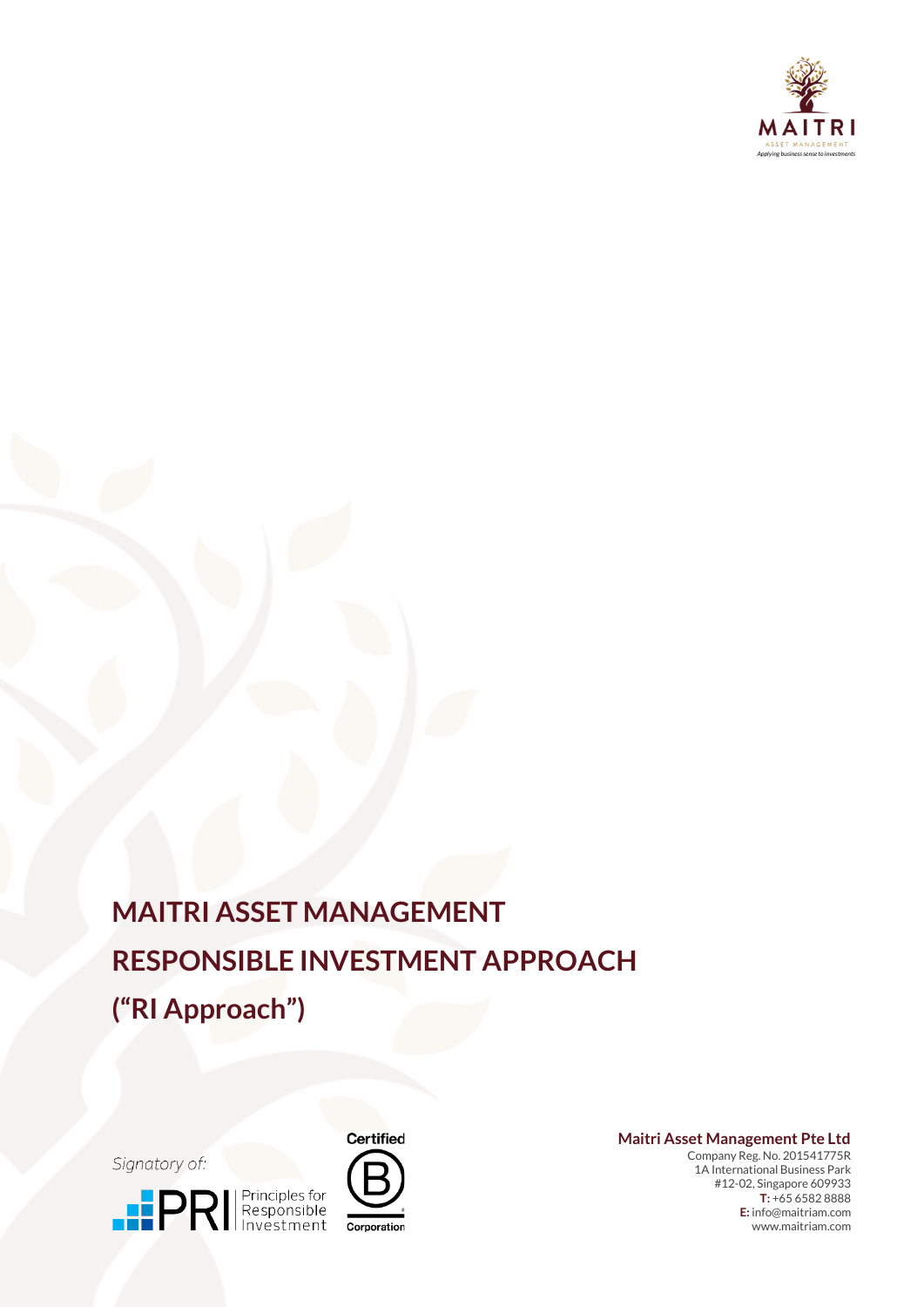

# **MAITRI ASSET MANAGEMENT RESPONSIBLE INVESTMENT APPROACH ("RI Approach")**

Signatory of:





**Maitri Asset Management Pte Ltd**

Company Reg. No. 201541775R 1A International Business Park #12-02, Singapore 609933 **T:** +65 6582 8888 **E:** info@maitriam.com www.maitriam.com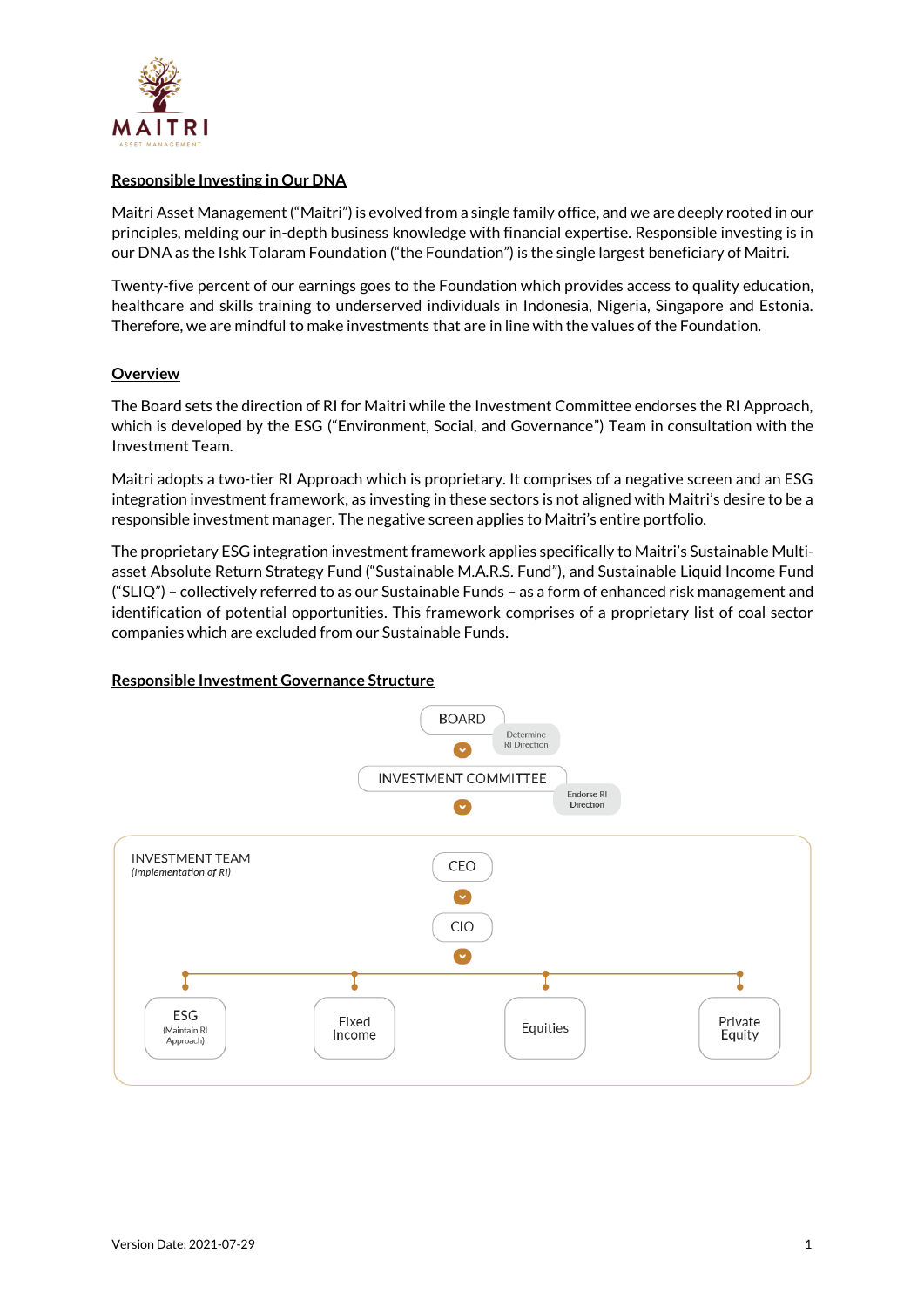

## **Responsible Investing in Our DNA**

Maitri Asset Management ("Maitri") is evolved from a single family office, and we are deeply rooted in our principles, melding our in-depth business knowledge with financial expertise. Responsible investing is in our DNA as the Ishk Tolaram Foundation ("the Foundation") is the single largest beneficiary of Maitri.

Twenty-five percent of our earnings goes to the Foundation which provides access to quality education, healthcare and skills training to underserved individuals in Indonesia, Nigeria, Singapore and Estonia. Therefore, we are mindful to make investments that are in line with the values of the Foundation.

# **Overview**

The Board sets the direction of RI for Maitri while the Investment Committee endorses the RI Approach, which is developed by the ESG ("Environment, Social, and Governance") Team in consultation with the Investment Team.

Maitri adopts a two-tier RI Approach which is proprietary. It comprises of a negative screen and an ESG integration investment framework, as investing in these sectors is not aligned with Maitri's desire to be a responsible investment manager. The negative screen applies to Maitri's entire portfolio.

The proprietary ESG integration investment framework applies specifically to Maitri's Sustainable Multiasset Absolute Return Strategy Fund ("Sustainable M.A.R.S. Fund"), and Sustainable Liquid Income Fund ("SLIQ") – collectively referred to as our Sustainable Funds – as a form of enhanced risk management and identification of potential opportunities. This framework comprises of a proprietary list of coal sector companies which are excluded from our Sustainable Funds.

#### **Responsible Investment Governance Structure**

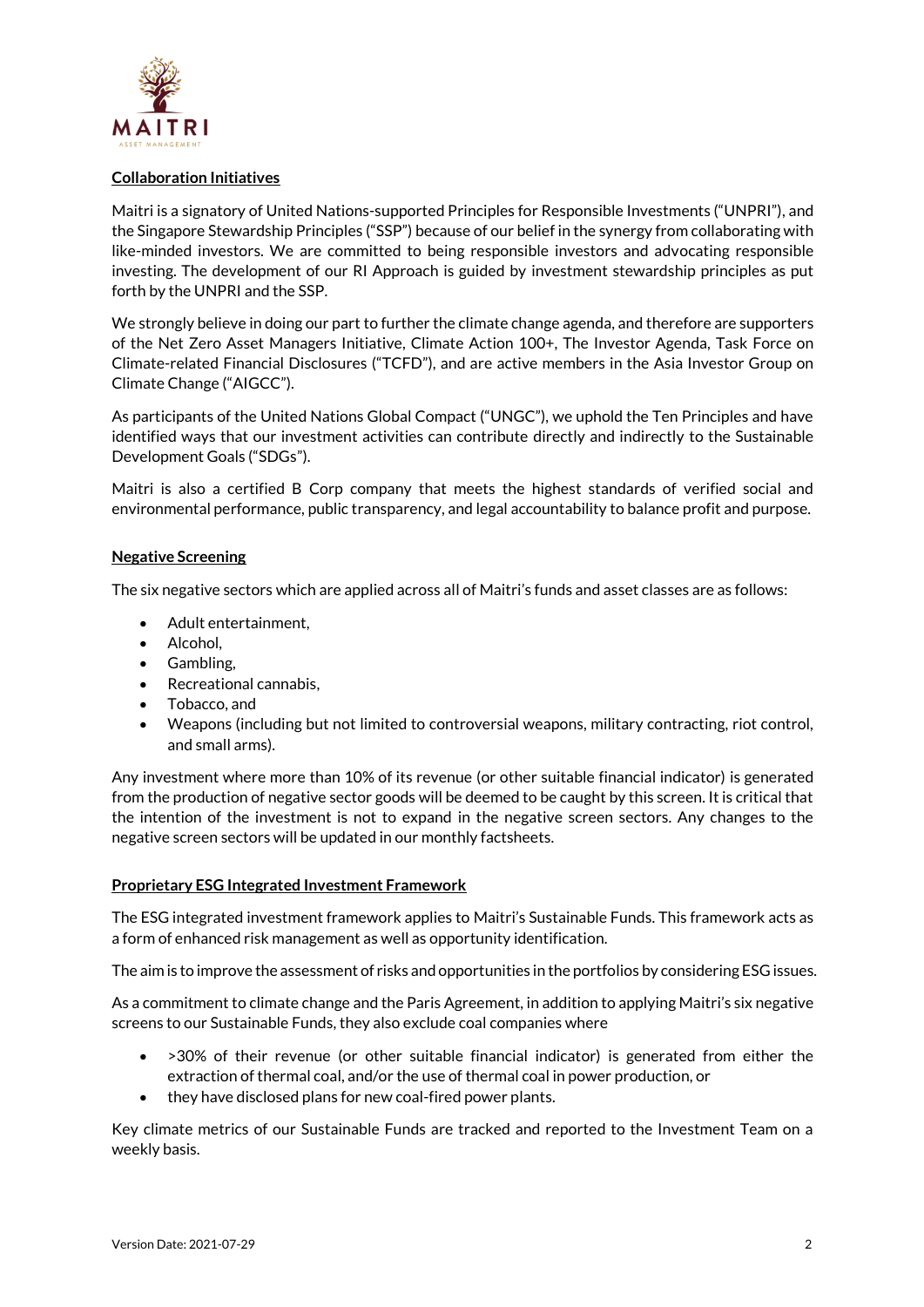

## **Collaboration Initiatives**

Maitri is a signatory of United Nations-supported Principles for Responsible Investments ("UNPRI"), and the Singapore Stewardship Principles ("SSP") because of our belief in the synergy from collaborating with like-minded investors. We are committed to being responsible investors and advocating responsible investing. The development of our RI Approach is guided by investment stewardship principles as put forth by the UNPRI and the SSP.

We strongly believe in doing our part to further the climate change agenda, and therefore are supporters of the Net Zero Asset Managers Initiative, Climate Action 100+, The Investor Agenda, Task Force on Climate-related Financial Disclosures ("TCFD"), and are active members in the Asia Investor Group on Climate Change ("AIGCC").

As participants of the United Nations Global Compact ("UNGC"), we uphold the Ten Principles and have identified ways that our investment activities can contribute directly and indirectly to the Sustainable Development Goals ("SDGs").

Maitri is also a certified B Corp company that meets the highest standards of verified social and environmental performance, public transparency, and legal accountability to balance profit and purpose.

#### **Negative Screening**

The six negative sectors which are applied across all of Maitri's funds and asset classes are as follows:

- Adult entertainment,
- Alcohol,
- Gambling,
- Recreational cannabis,
- Tobacco, and
- Weapons (including but not limited to controversial weapons, military contracting, riot control, and small arms).

Any investment where more than 10% of its revenue (or other suitable financial indicator) is generated from the production of negative sector goods will be deemed to be caught by this screen. It is critical that the intention of the investment is not to expand in the negative screen sectors. Any changes to the negative screen sectors will be updated in our monthly factsheets.

#### **Proprietary ESG Integrated Investment Framework**

The ESG integrated investment framework applies to Maitri's Sustainable Funds. This framework acts as a form of enhanced risk management as well as opportunity identification.

The aim is to improve the assessment of risks and opportunities in the portfolios by considering ESG issues.

As a commitment to climate change and the Paris Agreement, in addition to applying Maitri's six negative screens to our Sustainable Funds, they also exclude coal companies where

- >30% of their revenue (or other suitable financial indicator) is generated from either the extraction of thermal coal, and/or the use of thermal coal in power production, or
- they have disclosed plans for new coal-fired power plants.

Key climate metrics of our Sustainable Funds are tracked and reported to the Investment Team on a weekly basis.